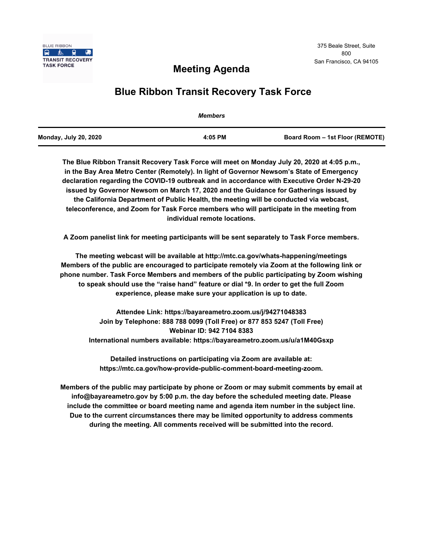

# **Meeting Agenda**

# **Blue Ribbon Transit Recovery Task Force**

|                              | <b>Members</b> |                                 |
|------------------------------|----------------|---------------------------------|
| <b>Monday, July 20, 2020</b> | 4:05 PM        | Board Room - 1st Floor (REMOTE) |

**The Blue Ribbon Transit Recovery Task Force will meet on Monday July 20, 2020 at 4:05 p.m., in the Bay Area Metro Center (Remotely). In light of Governor Newsom's State of Emergency declaration regarding the COVID-19 outbreak and in accordance with Executive Order N-29-20 issued by Governor Newsom on March 17, 2020 and the Guidance for Gatherings issued by the California Department of Public Health, the meeting will be conducted via webcast, teleconference, and Zoom for Task Force members who will participate in the meeting from individual remote locations.** 

**A Zoom panelist link for meeting participants will be sent separately to Task Force members.**

**The meeting webcast will be available at http://mtc.ca.gov/whats-happening/meetings Members of the public are encouraged to participate remotely via Zoom at the following link or phone number. Task Force Members and members of the public participating by Zoom wishing to speak should use the "raise hand" feature or dial \*9. In order to get the full Zoom experience, please make sure your application is up to date.**

**Attendee Link: https://bayareametro.zoom.us/j/94271048383 Join by Telephone: 888 788 0099 (Toll Free) or 877 853 5247 (Toll Free) Webinar ID: 942 7104 8383 International numbers available: https://bayareametro.zoom.us/u/a1M40Gsxp**

**Detailed instructions on participating via Zoom are available at: https://mtc.ca.gov/how-provide-public-comment-board-meeting-zoom.**

**Members of the public may participate by phone or Zoom or may submit comments by email at info@bayareametro.gov by 5:00 p.m. the day before the scheduled meeting date. Please include the committee or board meeting name and agenda item number in the subject line. Due to the current circumstances there may be limited opportunity to address comments during the meeting. All comments received will be submitted into the record.**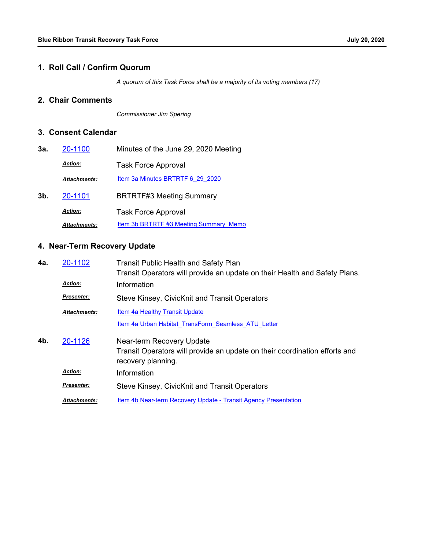#### **1. Roll Call / Confirm Quorum**

*A quorum of this Task Force shall be a majority of its voting members (17)*

### **2. Chair Comments**

*Commissioner Jim Spering*

## **3. Consent Calendar**

| 3а. | 20-1100             | Minutes of the June 29, 2020 Meeting   |
|-----|---------------------|----------------------------------------|
|     | <b>Action:</b>      | <b>Task Force Approval</b>             |
|     | <b>Attachments:</b> | Item 3a Minutes BRTRTF 6 29 2020       |
| 3b. | 20-1101             | <b>BRTRTF#3 Meeting Summary</b>        |
|     | <b>Action:</b>      | <b>Task Force Approval</b>             |
|     | <b>Attachments:</b> | Item 3b BRTRTF #3 Meeting Summary Memo |

# **4. Near-Term Recovery Update**

| 4a. | 20-1102             | <b>Transit Public Health and Safety Plan</b><br>Transit Operators will provide an update on their Health and Safety Plans.    |
|-----|---------------------|-------------------------------------------------------------------------------------------------------------------------------|
|     | <b>Action:</b>      | Information                                                                                                                   |
|     | <b>Presenter:</b>   | Steve Kinsey, CivicKnit and Transit Operators                                                                                 |
|     | <b>Attachments:</b> | <b>Item 4a Healthy Transit Update</b>                                                                                         |
|     |                     | Item 4a Urban Habitat TransForm Seamless ATU Letter                                                                           |
| 4b. | 20-1126             | Near-term Recovery Update<br>Transit Operators will provide an update on their coordination efforts and<br>recovery planning. |
|     | <b>Action:</b>      | Information                                                                                                                   |
|     | <b>Presenter:</b>   | Steve Kinsey, CivicKnit and Transit Operators                                                                                 |
|     | <b>Attachments:</b> | Item 4b Near-term Recovery Update - Transit Agency Presentation                                                               |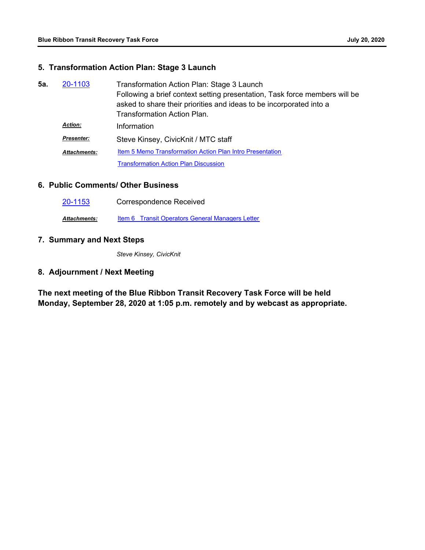### **5. Transformation Action Plan: Stage 3 Launch**

| 5а. | 20-1103             | Transformation Action Plan: Stage 3 Launch                                                                                                        |
|-----|---------------------|---------------------------------------------------------------------------------------------------------------------------------------------------|
|     |                     | Following a brief context setting presentation, Task force members will be<br>asked to share their priorities and ideas to be incorporated into a |
|     |                     | <b>Transformation Action Plan.</b>                                                                                                                |
|     | <b>Action:</b>      | Information                                                                                                                                       |
|     | <b>Presenter:</b>   | Steve Kinsey, CivicKnit / MTC staff                                                                                                               |
|     | <b>Attachments:</b> | Item 5 Memo Transformation Action Plan Intro Presentation                                                                                         |
|     |                     | <b>Transformation Action Plan Discussion</b>                                                                                                      |

### **6. Public Comments/ Other Business**

| 20-1153             | <b>Correspondence Received</b>                   |
|---------------------|--------------------------------------------------|
| <b>Attachments:</b> | Item 6 Transit Operators General Managers Letter |

## **7. Summary and Next Steps**

*Steve Kinsey, CivicKnit*

### **8. Adjournment / Next Meeting**

**The next meeting of the Blue Ribbon Transit Recovery Task Force will be held Monday, September 28, 2020 at 1:05 p.m. remotely and by webcast as appropriate.**